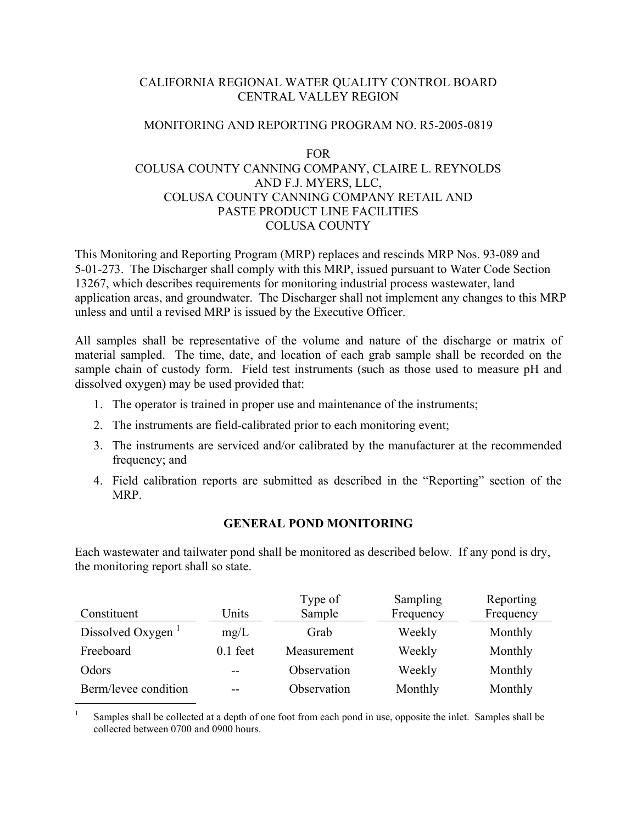## CALIFORNIA REGIONAL WATER QUALITY CONTROL BOARD CENTRAL VALLEY REGION

## MONITORING AND REPORTING PROGRAM NO. R5-2005-0819

## FOR

# COLUSA COUNTY CANNING COMPANY, CLAIRE L. REYNOLDS AND F.J. MYERS, LLC, COLUSA COUNTY CANNING COMPANY RETAIL AND PASTE PRODUCT LINE FACILITIES COLUSA COUNTY

This Monitoring and Reporting Program (MRP) replaces and rescinds MRP Nos. 93-089 and 5-01-273. The Discharger shall comply with this MRP, issued pursuant to Water Code Section 13267, which describes requirements for monitoring industrial process wastewater, land application areas, and groundwater. The Discharger shall not implement any changes to this MRP unless and until a revised MRP is issued by the Executive Officer.

All samples shall be representative of the volume and nature of the discharge or matrix of material sampled. The time, date, and location of each grab sample shall be recorded on the sample chain of custody form. Field test instruments (such as those used to measure pH and dissolved oxygen) may be used provided that:

- 1. The operator is trained in proper use and maintenance of the instruments;
- 2. The instruments are field-calibrated prior to each monitoring event;
- 3. The instruments are serviced and/or calibrated by the manufacturer at the recommended frequency; and
- 4. Field calibration reports are submitted as described in the "Reporting" section of the MRP.

## **GENERAL POND MONITORING**

Each wastewater and tailwater pond shall be monitored as described below. If any pond is dry, the monitoring report shall so state.

| Constituent                   | Units      | Type of<br>Sample | Sampling<br>Frequency | Reporting<br>Frequency |
|-------------------------------|------------|-------------------|-----------------------|------------------------|
| Dissolved Oxygen <sup>1</sup> | mg/L       | Grab              | Weekly                | Monthly                |
| Freeboard                     | $0.1$ feet | Measurement       | Weekly                | Monthly                |
| Odors                         |            | Observation       | Weekly                | Monthly                |
| Berm/levee condition          | --         | Observation       | Monthly               | Monthly                |

<sup>1</sup> Samples shall be collected at a depth of one foot from each pond in use, opposite the inlet. Samples shall be collected between 0700 and 0900 hours.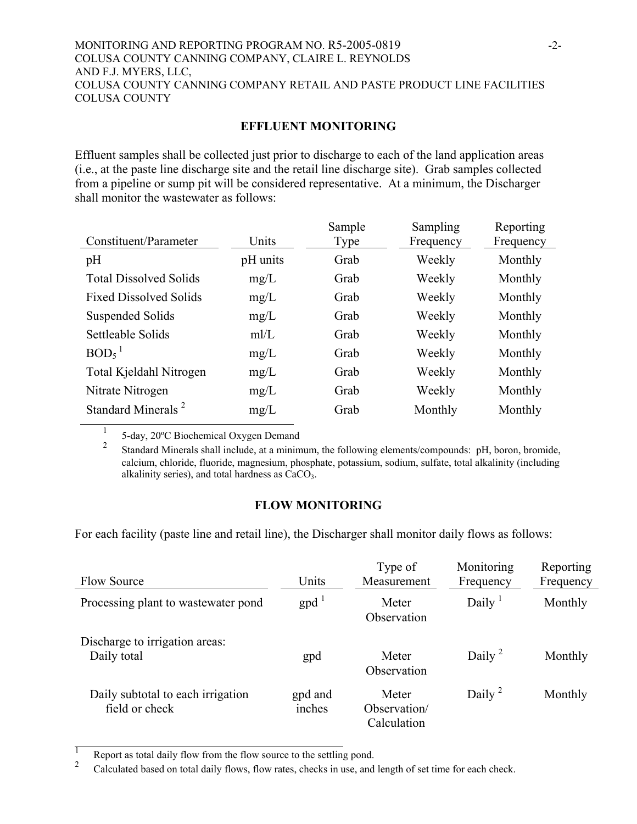#### MONITORING AND REPORTING PROGRAM NO. R5-2005-0819 -2- COLUSA COUNTY CANNING COMPANY, CLAIRE L. REYNOLDS AND F.J. MYERS, LLC, COLUSA COUNTY CANNING COMPANY RETAIL AND PASTE PRODUCT LINE FACILITIES COLUSA COUNTY

## **EFFLUENT MONITORING**

Effluent samples shall be collected just prior to discharge to each of the land application areas (i.e., at the paste line discharge site and the retail line discharge site). Grab samples collected from a pipeline or sump pit will be considered representative. At a minimum, the Discharger shall monitor the wastewater as follows:

| Constituent/Parameter          | Units    | Sample<br>Type | Sampling<br>Frequency | Reporting<br>Frequency |
|--------------------------------|----------|----------------|-----------------------|------------------------|
| pH                             | pH units | Grab           | Weekly                | Monthly                |
| <b>Total Dissolved Solids</b>  | mg/L     | Grab           | Weekly                | Monthly                |
| <b>Fixed Dissolved Solids</b>  | mg/L     | Grab           | Weekly                | Monthly                |
| Suspended Solids               | mg/L     | Grab           | Weekly                | Monthly                |
| Settleable Solids              | m/L      | Grab           | Weekly                | Monthly                |
| $BOD5$ <sup>1</sup>            | mg/L     | Grab           | Weekly                | Monthly                |
| Total Kjeldahl Nitrogen        | mg/L     | Grab           | Weekly                | Monthly                |
| Nitrate Nitrogen               | mg/L     | Grab           | Weekly                | Monthly                |
| Standard Minerals <sup>2</sup> | mg/L     | Grab           | Monthly               | Monthly                |

<sup>1</sup> 5-day, 20ºC Biochemical Oxygen Demand

2 Standard Minerals shall include, at a minimum, the following elements/compounds: pH, boron, bromide, calcium, chloride, fluoride, magnesium, phosphate, potassium, sodium, sulfate, total alkalinity (including alkalinity series), and total hardness as  $CaCO<sub>3</sub>$ .

## **FLOW MONITORING**

For each facility (paste line and retail line), the Discharger shall monitor daily flows as follows:

|                                                     |                           | Type of                              | Monitoring                      | Reporting |
|-----------------------------------------------------|---------------------------|--------------------------------------|---------------------------------|-----------|
| <b>Flow Source</b>                                  | Units                     | Measurement                          | Frequency                       | Frequency |
| Processing plant to was tewater pond                | $\text{gpd}$ <sup>1</sup> | Meter<br>Observation                 | Daily <sup><math>1</math></sup> | Monthly   |
| Discharge to irrigation areas:<br>Daily total       | gpd                       | Meter<br>Observation                 | Daily <sup>2</sup>              | Monthly   |
| Daily subtotal to each irrigation<br>field or check | gpd and<br>inches         | Meter<br>Observation/<br>Calculation | Daily <sup>2</sup>              | Monthly   |

**1** Report as total daily flow from the flow source to the settling pond.

<sup>2</sup> Calculated based on total daily flows, flow rates, checks in use, and length of set time for each check.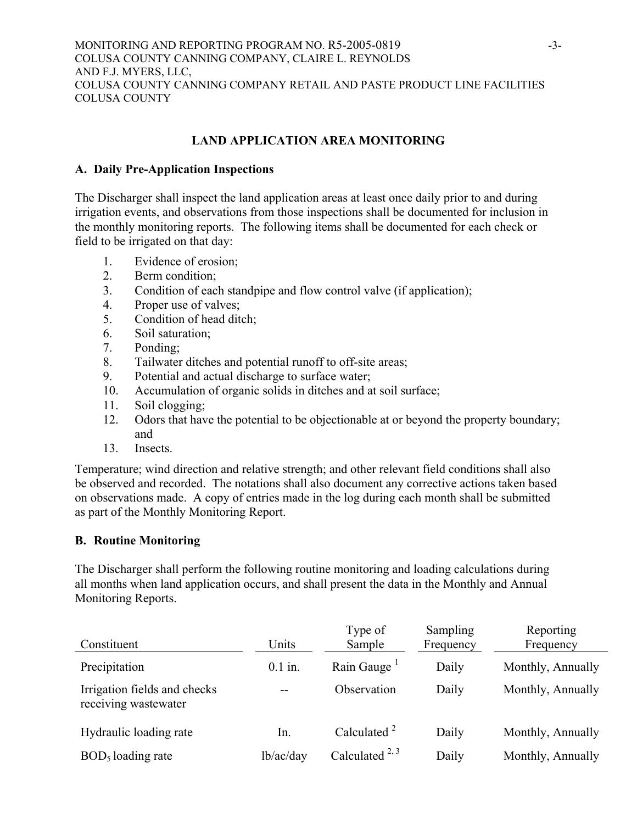# **LAND APPLICATION AREA MONITORING**

## **A. Daily Pre-Application Inspections**

The Discharger shall inspect the land application areas at least once daily prior to and during irrigation events, and observations from those inspections shall be documented for inclusion in the monthly monitoring reports. The following items shall be documented for each check or field to be irrigated on that day:

- 1. Evidence of erosion;
- 2. Berm condition;
- 3. Condition of each standpipe and flow control valve (if application);
- 4. Proper use of valves;
- 5. Condition of head ditch;
- 6. Soil saturation;
- 7. Ponding;
- 8. Tailwater ditches and potential runoff to off-site areas;
- 9. Potential and actual discharge to surface water;
- 10. Accumulation of organic solids in ditches and at soil surface;
- 11. Soil clogging;
- 12. Odors that have the potential to be objectionable at or beyond the property boundary; and
- 13. Insects.

Temperature; wind direction and relative strength; and other relevant field conditions shall also be observed and recorded. The notations shall also document any corrective actions taken based on observations made. A copy of entries made in the log during each month shall be submitted as part of the Monthly Monitoring Report.

## **B. Routine Monitoring**

The Discharger shall perform the following routine monitoring and loading calculations during all months when land application occurs, and shall present the data in the Monthly and Annual Monitoring Reports.

| Constituent                                          | Units     | Type of<br>Sample       | Sampling<br>Frequency | Reporting<br>Frequency |
|------------------------------------------------------|-----------|-------------------------|-----------------------|------------------------|
| Precipitation                                        | $0.1$ in. | Rain Gauge <sup>1</sup> | Daily                 | Monthly, Annually      |
| Irrigation fields and checks<br>receiving wastewater | --        | Observation             | Daily                 | Monthly, Annually      |
| Hydraulic loading rate                               | In.       | Calculated $2^2$        | Daily                 | Monthly, Annually      |
| $BOD5$ loading rate                                  | lb/ac/day | Calculated $^{2, 3}$    | Daily                 | Monthly, Annually      |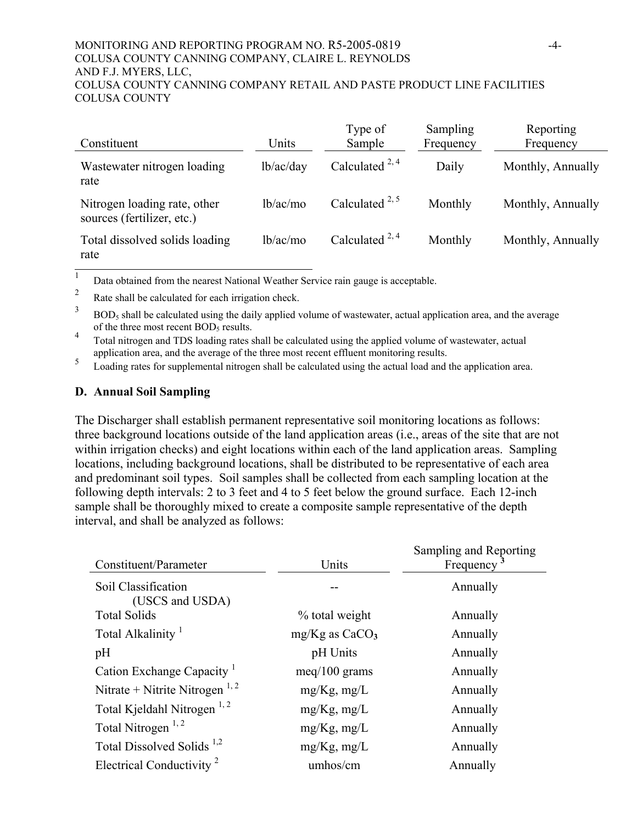#### MONITORING AND REPORTING PROGRAM NO. R5-2005-0819 -4- COLUSA COUNTY CANNING COMPANY, CLAIRE L. REYNOLDS AND F.J. MYERS, LLC, COLUSA COUNTY CANNING COMPANY RETAIL AND PASTE PRODUCT LINE FACILITIES COLUSA COUNTY

| Constituent                                                | Units     | Type of<br>Sample    | Sampling<br>Frequency | Reporting<br>Frequency |
|------------------------------------------------------------|-----------|----------------------|-----------------------|------------------------|
| Wastewater nitrogen loading<br>rate                        | lb/ac/day | Calculated $^{2, 4}$ | Daily                 | Monthly, Annually      |
| Nitrogen loading rate, other<br>sources (fertilizer, etc.) | lb/ac/mo  | Calculated $^{2, 5}$ | Monthly               | Monthly, Annually      |
| Total dissolved solids loading<br>rate                     | lb/ac/mo  | Calculated $^{2, 4}$ | Monthly               | Monthly, Annually      |

<sup>1</sup> Data obtained from the nearest National Weather Service rain gauge is acceptable.

<sup>2</sup> Rate shall be calculated for each irrigation check.

 $3$  BOD<sub>5</sub> shall be calculated using the daily applied volume of wastewater, actual application area, and the average of the three most recent BOD<sub>5</sub> results.

<sup>4</sup> Total nitrogen and TDS loading rates shall be calculated using the applied volume of wastewater, actual application area, and the average of the three most recent effluent monitoring results.

<sup>5</sup> Loading rates for supplemental nitrogen shall be calculated using the actual load and the application area.

### **D. Annual Soil Sampling**

The Discharger shall establish permanent representative soil monitoring locations as follows: three background locations outside of the land application areas (i.e., areas of the site that are not within irrigation checks) and eight locations within each of the land application areas. Sampling locations, including background locations, shall be distributed to be representative of each area and predominant soil types. Soil samples shall be collected from each sampling location at the following depth intervals: 2 to 3 feet and 4 to 5 feet below the ground surface. Each 12-inch sample shall be thoroughly mixed to create a composite sample representative of the depth interval, and shall be analyzed as follows:

| Constituent/Parameter                     | Units              | Sampling and Reporting<br>Frequency |
|-------------------------------------------|--------------------|-------------------------------------|
| Soil Classification<br>(USCS and USDA)    |                    | Annually                            |
| <b>Total Solids</b>                       | % total weight     | Annually                            |
| Total Alkalinity <sup>1</sup>             | $mg/Kg$ as $CaCO3$ | Annually                            |
| pH                                        | pH Units           | Annually                            |
| Cation Exchange Capacity <sup>1</sup>     | $meq/100$ grams    | Annually                            |
| Nitrate + Nitrite Nitrogen <sup>1,2</sup> | $mg/Kg$ , mg/L     | Annually                            |
| Total Kjeldahl Nitrogen <sup>1,2</sup>    | $mg/Kg$ , mg/L     | Annually                            |
| Total Nitrogen <sup>1,2</sup>             | $mg/Kg$ , mg/L     | Annually                            |
| Total Dissolved Solids <sup>1,2</sup>     | $mg/Kg$ , mg/L     | Annually                            |
| Electrical Conductivity <sup>2</sup>      | umhos/cm           | Annually                            |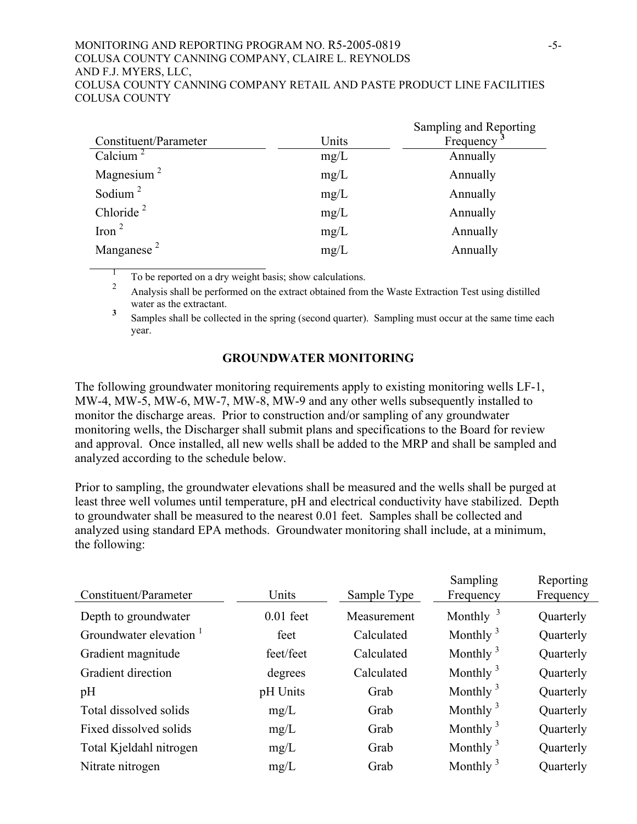#### MONITORING AND REPORTING PROGRAM NO. R5-2005-0819 -5- COLUSA COUNTY CANNING COMPANY, CLAIRE L. REYNOLDS AND F.J. MYERS, LLC, COLUSA COUNTY CANNING COMPANY RETAIL AND PASTE PRODUCT LINE FACILITIES COLUSA COUNTY

|                                     |       | Sampling and Reporting |
|-------------------------------------|-------|------------------------|
| Constituent/Parameter               | Units | Frequency              |
| Calcium <sup>2</sup>                | mg/L  | Annually               |
| Magnesium <sup><math>2</math></sup> | mg/L  | Annually               |
| Sodium $^2$                         | mg/L  | Annually               |
| Chloride $2$                        | mg/L  | Annually               |
| Iron $^2$                           | mg/L  | Annually               |
| Manganese $2$                       | mg/L  | Annually               |

 $\frac{1}{2}$  To be reported on a dry weight basis; show calculations.

2 Analysis shall be performed on the extract obtained from the Waste Extraction Test using distilled water as the extractant.

**3** Samples shall be collected in the spring (second quarter). Sampling must occur at the same time each year.

## **GROUNDWATER MONITORING**

The following groundwater monitoring requirements apply to existing monitoring wells LF-1, MW-4, MW-5, MW-6, MW-7, MW-8, MW-9 and any other wells subsequently installed to monitor the discharge areas. Prior to construction and/or sampling of any groundwater monitoring wells, the Discharger shall submit plans and specifications to the Board for review and approval. Once installed, all new wells shall be added to the MRP and shall be sampled and analyzed according to the schedule below.

Prior to sampling, the groundwater elevations shall be measured and the wells shall be purged at least three well volumes until temperature, pH and electrical conductivity have stabilized. Depth to groundwater shall be measured to the nearest 0.01 feet. Samples shall be collected and analyzed using standard EPA methods. Groundwater monitoring shall include, at a minimum, the following:

| Constituent/Parameter              | Units       | Sample Type | Sampling<br>Frequency | Reporting<br>Frequency |
|------------------------------------|-------------|-------------|-----------------------|------------------------|
| Depth to groundwater               | $0.01$ feet | Measurement | Monthly $3$           | Quarterly              |
| Groundwater elevation <sup>1</sup> | feet        | Calculated  | Monthly $3$           | Quarterly              |
| Gradient magnitude                 | feet/feet   | Calculated  | Monthly $3$           | Quarterly              |
| Gradient direction                 | degrees     | Calculated  | Monthly $3$           | Quarterly              |
| pH                                 | pH Units    | Grab        | Monthly $3$           | Quarterly              |
| Total dissolved solids             | mg/L        | Grab        | Monthly $3$           | Quarterly              |
| Fixed dissolved solids             | mg/L        | Grab        | Monthly $3$           | Quarterly              |
| Total Kjeldahl nitrogen            | mg/L        | Grab        | Monthly $3$           | Quarterly              |
| Nitrate nitrogen                   | mg/L        | Grab        | Monthly $3$           | Quarterly              |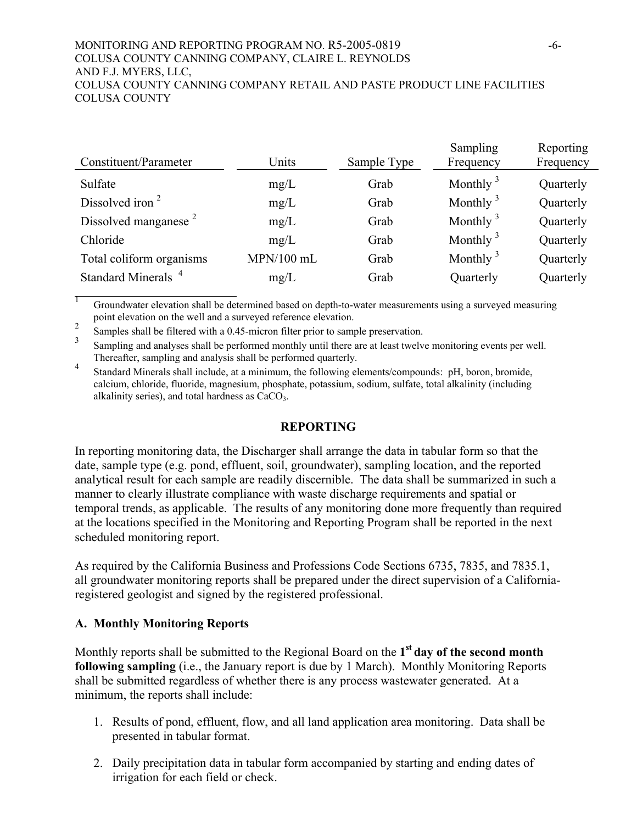#### MONITORING AND REPORTING PROGRAM NO. R5-2005-0819 -6- COLUSA COUNTY CANNING COMPANY, CLAIRE L. REYNOLDS AND F.J. MYERS, LLC, COLUSA COUNTY CANNING COMPANY RETAIL AND PASTE PRODUCT LINE FACILITIES COLUSA COUNTY

| Units        | Sample Type | Sampling<br>Frequency | Reporting<br>Frequency |
|--------------|-------------|-----------------------|------------------------|
| mg/L         | Grab        | Monthly $3$           | Quarterly              |
| mg/L         | Grab        | Monthly $3$           | Quarterly              |
| mg/L         | Grab        | Monthly $3$           | Quarterly              |
| mg/L         | Grab        | Monthly $3$           | Quarterly              |
| $MPN/100$ mL | Grab        | Monthly $3$           | Quarterly              |
| mg/L         | Grab        | Quarterly             | Quarterly              |
|              |             |                       |                        |

<sup>1</sup> Groundwater elevation shall be determined based on depth-to-water measurements using a surveyed measuring point elevation on the well and a surveyed reference elevation.

<sup>2</sup> Samples shall be filtered with a 0.45-micron filter prior to sample preservation.

3 Sampling and analyses shall be performed monthly until there are at least twelve monitoring events per well. Thereafter, sampling and analysis shall be performed quarterly.

4 Standard Minerals shall include, at a minimum, the following elements/compounds: pH, boron, bromide, calcium, chloride, fluoride, magnesium, phosphate, potassium, sodium, sulfate, total alkalinity (including alkalinity series), and total hardness as  $CaCO<sub>3</sub>$ .

## **REPORTING**

In reporting monitoring data, the Discharger shall arrange the data in tabular form so that the date, sample type (e.g. pond, effluent, soil, groundwater), sampling location, and the reported analytical result for each sample are readily discernible. The data shall be summarized in such a manner to clearly illustrate compliance with waste discharge requirements and spatial or temporal trends, as applicable. The results of any monitoring done more frequently than required at the locations specified in the Monitoring and Reporting Program shall be reported in the next scheduled monitoring report.

As required by the California Business and Professions Code Sections 6735, 7835, and 7835.1, all groundwater monitoring reports shall be prepared under the direct supervision of a Californiaregistered geologist and signed by the registered professional.

## **A. Monthly Monitoring Reports**

Monthly reports shall be submitted to the Regional Board on the **1st day of the second month following sampling** (i.e., the January report is due by 1 March). Monthly Monitoring Reports shall be submitted regardless of whether there is any process wastewater generated. At a minimum, the reports shall include:

- 1. Results of pond, effluent, flow, and all land application area monitoring. Data shall be presented in tabular format.
- 2. Daily precipitation data in tabular form accompanied by starting and ending dates of irrigation for each field or check.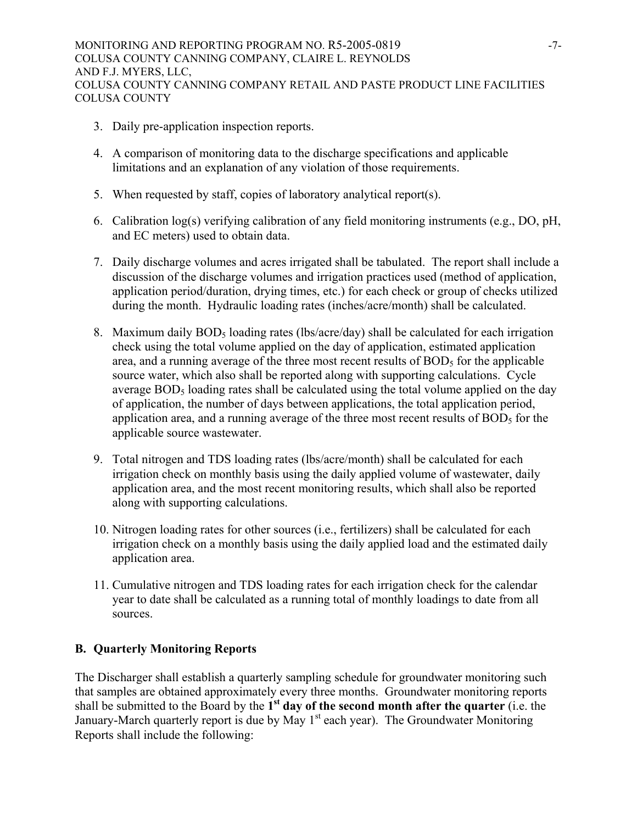- 3. Daily pre-application inspection reports.
- 4. A comparison of monitoring data to the discharge specifications and applicable limitations and an explanation of any violation of those requirements.
- 5. When requested by staff, copies of laboratory analytical report(s).
- 6. Calibration log(s) verifying calibration of any field monitoring instruments (e.g., DO, pH, and EC meters) used to obtain data.
- 7. Daily discharge volumes and acres irrigated shall be tabulated. The report shall include a discussion of the discharge volumes and irrigation practices used (method of application, application period/duration, drying times, etc.) for each check or group of checks utilized during the month. Hydraulic loading rates (inches/acre/month) shall be calculated.
- 8. Maximum daily  $BOD_5$  loading rates (lbs/acre/day) shall be calculated for each irrigation check using the total volume applied on the day of application, estimated application area, and a running average of the three most recent results of  $BOD<sub>5</sub>$  for the applicable source water, which also shall be reported along with supporting calculations. Cycle average BOD<sub>5</sub> loading rates shall be calculated using the total volume applied on the day of application, the number of days between applications, the total application period, application area, and a running average of the three most recent results of  $BOD<sub>5</sub>$  for the applicable source wastewater.
- 9. Total nitrogen and TDS loading rates (lbs/acre/month) shall be calculated for each irrigation check on monthly basis using the daily applied volume of wastewater, daily application area, and the most recent monitoring results, which shall also be reported along with supporting calculations.
- 10. Nitrogen loading rates for other sources (i.e., fertilizers) shall be calculated for each irrigation check on a monthly basis using the daily applied load and the estimated daily application area.
- 11. Cumulative nitrogen and TDS loading rates for each irrigation check for the calendar year to date shall be calculated as a running total of monthly loadings to date from all sources.

## **B. Quarterly Monitoring Reports**

The Discharger shall establish a quarterly sampling schedule for groundwater monitoring such that samples are obtained approximately every three months. Groundwater monitoring reports shall be submitted to the Board by the **1st day of the second month after the quarter** (i.e. the January-March quarterly report is due by May 1<sup>st</sup> each year). The Groundwater Monitoring Reports shall include the following: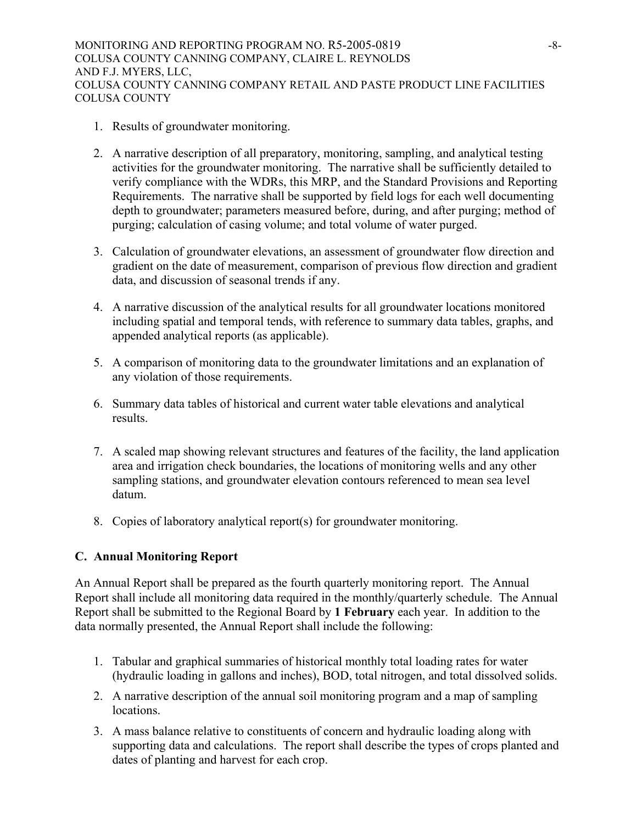MONITORING AND REPORTING PROGRAM NO. R5-2005-0819 -8-COLUSA COUNTY CANNING COMPANY, CLAIRE L. REYNOLDS AND F.J. MYERS, LLC, COLUSA COUNTY CANNING COMPANY RETAIL AND PASTE PRODUCT LINE FACILITIES COLUSA COUNTY

- 1. Results of groundwater monitoring.
- 2. A narrative description of all preparatory, monitoring, sampling, and analytical testing activities for the groundwater monitoring. The narrative shall be sufficiently detailed to verify compliance with the WDRs, this MRP, and the Standard Provisions and Reporting Requirements. The narrative shall be supported by field logs for each well documenting depth to groundwater; parameters measured before, during, and after purging; method of purging; calculation of casing volume; and total volume of water purged.
- 3. Calculation of groundwater elevations, an assessment of groundwater flow direction and gradient on the date of measurement, comparison of previous flow direction and gradient data, and discussion of seasonal trends if any.
- 4. A narrative discussion of the analytical results for all groundwater locations monitored including spatial and temporal tends, with reference to summary data tables, graphs, and appended analytical reports (as applicable).
- 5. A comparison of monitoring data to the groundwater limitations and an explanation of any violation of those requirements.
- 6. Summary data tables of historical and current water table elevations and analytical results.
- 7. A scaled map showing relevant structures and features of the facility, the land application area and irrigation check boundaries, the locations of monitoring wells and any other sampling stations, and groundwater elevation contours referenced to mean sea level datum.
- 8. Copies of laboratory analytical report(s) for groundwater monitoring.

## **C. Annual Monitoring Report**

An Annual Report shall be prepared as the fourth quarterly monitoring report. The Annual Report shall include all monitoring data required in the monthly/quarterly schedule. The Annual Report shall be submitted to the Regional Board by **1 February** each year. In addition to the data normally presented, the Annual Report shall include the following:

- 1. Tabular and graphical summaries of historical monthly total loading rates for water (hydraulic loading in gallons and inches), BOD, total nitrogen, and total dissolved solids.
- 2. A narrative description of the annual soil monitoring program and a map of sampling locations.
- 3. A mass balance relative to constituents of concern and hydraulic loading along with supporting data and calculations. The report shall describe the types of crops planted and dates of planting and harvest for each crop.